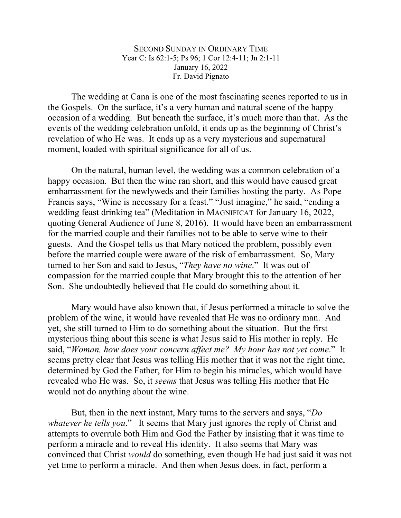SECOND SUNDAY IN ORDINARY TIME Year C: Is 62:1-5; Ps 96; 1 Cor 12:4-11; Jn 2:1-11 January 16, 2022 Fr. David Pignato

The wedding at Cana is one of the most fascinating scenes reported to us in the Gospels. On the surface, it's a very human and natural scene of the happy occasion of a wedding. But beneath the surface, it's much more than that. As the events of the wedding celebration unfold, it ends up as the beginning of Christ's revelation of who He was. It ends up as a very mysterious and supernatural moment, loaded with spiritual significance for all of us.

On the natural, human level, the wedding was a common celebration of a happy occasion. But then the wine ran short, and this would have caused great embarrassment for the newlyweds and their families hosting the party. As Pope Francis says, "Wine is necessary for a feast." "Just imagine," he said, "ending a wedding feast drinking tea" (Meditation in MAGNIFICAT for January 16, 2022, quoting General Audience of June 8, 2016). It would have been an embarrassment for the married couple and their families not to be able to serve wine to their guests. And the Gospel tells us that Mary noticed the problem, possibly even before the married couple were aware of the risk of embarrassment. So, Mary turned to her Son and said to Jesus, "*They have no wine*." It was out of compassion for the married couple that Mary brought this to the attention of her Son. She undoubtedly believed that He could do something about it.

Mary would have also known that, if Jesus performed a miracle to solve the problem of the wine, it would have revealed that He was no ordinary man. And yet, she still turned to Him to do something about the situation. But the first mysterious thing about this scene is what Jesus said to His mother in reply. He said, "*Woman, how does your concern affect me? My hour has not yet come*." It seems pretty clear that Jesus was telling His mother that it was not the right time, determined by God the Father, for Him to begin his miracles, which would have revealed who He was. So, it *seems* that Jesus was telling His mother that He would not do anything about the wine.

But, then in the next instant, Mary turns to the servers and says, "*Do whatever he tells you.*" It seems that Mary just ignores the reply of Christ and attempts to overrule both Him and God the Father by insisting that it was time to perform a miracle and to reveal His identity. It also seems that Mary was convinced that Christ *would* do something, even though He had just said it was not yet time to perform a miracle. And then when Jesus does, in fact, perform a